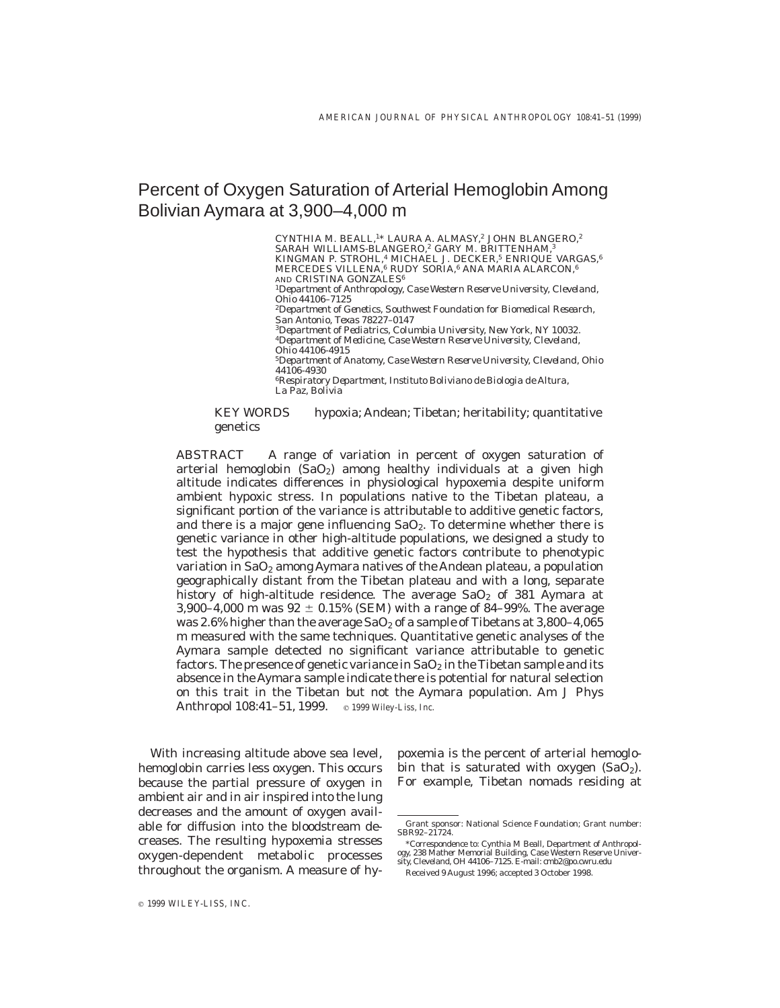# Percent of Oxygen Saturation of Arterial Hemoglobin Among Bolivian Aymara at 3,900–4,000 m

CYNTHIA M. BEALL,<sup>1\*</sup> LAURA A. ALMASY,<sup>2</sup> JOHN BLANGERO,<sup>2</sup> SARAH WILLIAMS-BLANGERO,<sup>2</sup> GARY M. BRITTENHAM,<sup>3</sup> KINGMAN P. STROHL,<sup>4</sup> MICHAEL J. DECKER,<sup>5</sup> ENRIQUE VARGAS,<sup>6</sup> MERCEDES VILLENA,<sup>6</sup> RUDY SORIA,<sup>6</sup> ANA MARIA ALARCON,<sup>6</sup> AND CRISTINA GONZALES<sup>6</sup> <sup>1</sup>*Department of Anthropology, Case Western Reserve University, Cleveland, Ohio 44106–7125* <sup>2</sup>*Department of Genetics, Southwest Foundation for Biomedical Research, San Antonio, Texas 78227–0147* <sup>3</sup>*Department of Pediatrics, Columbia University, New York, NY 10032.* <sup>4</sup>*Department of Medicine, Case Western Reserve University, Cleveland, Ohio 44106-4915* <sup>5</sup>*Department of Anatomy, Case Western Reserve University, Cleveland, Ohio 44106-4930* <sup>6</sup>*Respiratory Department, Instituto Boliviano de Biologia de Altura, La Paz, Bolivia*

# *KEY WORDS* hypoxia; Andean; Tibetan; heritability; quantitative genetics

*ABSTRACT* A range of variation in percent of oxygen saturation of arterial hemoglobin  $(SaO<sub>2</sub>)$  among healthy individuals at a given high altitude indicates differences in physiological hypoxemia despite uniform ambient hypoxic stress. In populations native to the Tibetan plateau, a significant portion of the variance is attributable to additive genetic factors, and there is a major gene influencing  $SaO<sub>2</sub>$ . To determine whether there is genetic variance in other high-altitude populations, we designed a study to test the hypothesis that additive genetic factors contribute to phenotypic variation in SaO<sub>2</sub> among Aymara natives of the Andean plateau, a population geographically distant from the Tibetan plateau and with a long, separate history of high-altitude residence. The average  $SaO<sub>2</sub>$  of 381 Aymara at 3,900–4,000 m was  $92 \pm 0.15\%$  (SEM) with a range of 84–99%. The average was 2.6% higher than the average  $SaO<sub>2</sub>$  of a sample of Tibetans at 3,800-4,065 m measured with the same techniques. Quantitative genetic analyses of the Aymara sample detected no significant variance attributable to genetic factors. The presence of genetic variance in  $SaO<sub>2</sub>$  in the Tibetan sample and its absence in the Aymara sample indicate there is potential for natural selection on this trait in the Tibetan but not the Aymara population. Am J Phys Anthropol 108:41-51, 1999. **c** 1999 Wiley-Liss, Inc.

With increasing altitude above sea level, hemoglobin carries less oxygen. This occurs because the partial pressure of oxygen in ambient air and in air inspired into the lung decreases and the amount of oxygen available for diffusion into the bloodstream decreases. The resulting hypoxemia stresses oxygen-dependent metabolic processes throughout the organism. A measure of hy-

poxemia is the percent of arterial hemoglobin that is saturated with oxygen  $(SaO<sub>2</sub>)$ . For example, Tibetan nomads residing at

Grant sponsor: National Science Foundation; Grant number: SBR92–21724.

<sup>\*</sup>Correspondence to: Cynthia M Beall, Department of Anthropology, 238 Mather Memorial Building, Case Western Reserve University, Cleveland, OH 44106–7125. E-mail: cmb2@po.cwru.edu

Received 9 August 1996; accepted 3 October 1998.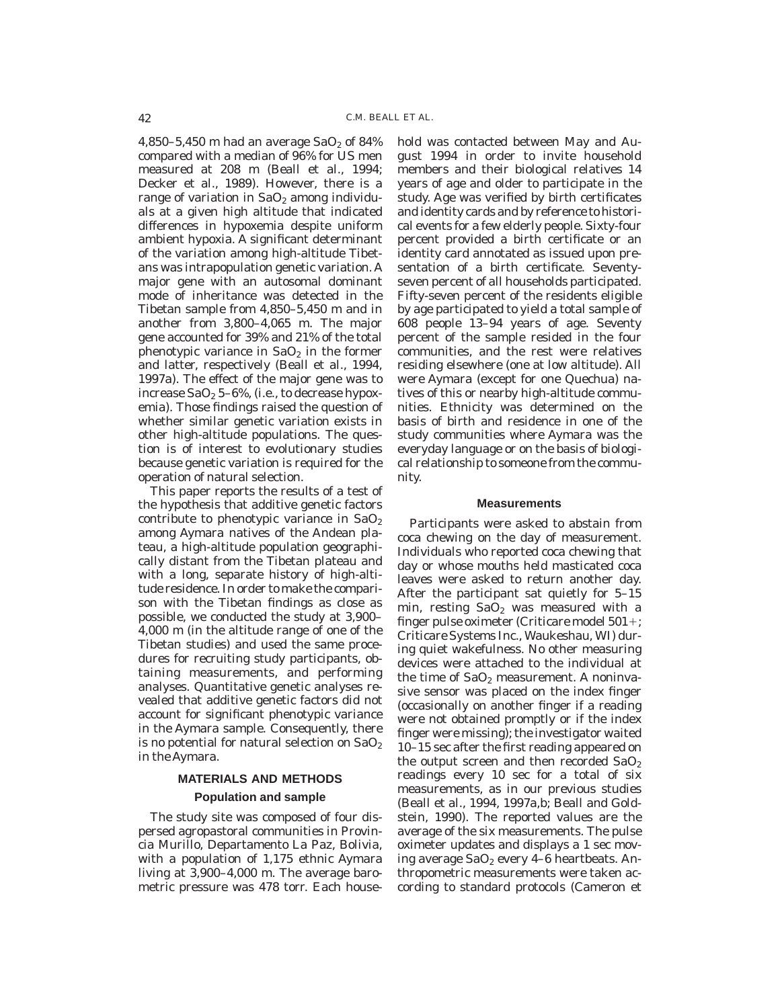4,850–5,450 m had an average  $SaO<sub>2</sub>$  of 84% compared with a median of 96% for US men measured at 208 m (Beall et al., 1994; Decker et al., 1989). However, there is a range of variation in  $SaO<sub>2</sub>$  among individuals at a given high altitude that indicated differences in hypoxemia despite uniform ambient hypoxia. A significant determinant of the variation among high-altitude Tibetans was intrapopulation genetic variation. A major gene with an autosomal dominant mode of inheritance was detected in the Tibetan sample from 4,850–5,450 m and in another from 3,800–4,065 m. The major gene accounted for 39% and 21% of the total phenotypic variance in  $SaO<sub>2</sub>$  in the former and latter, respectively (Beall et al., 1994, 1997a). The effect of the major gene was to increase  $SaO<sub>2</sub> 5-6$ %, (i.e., to decrease hypoxemia). Those findings raised the question of whether similar genetic variation exists in other high-altitude populations. The question is of interest to evolutionary studies because genetic variation is required for the operation of natural selection.

This paper reports the results of a test of the hypothesis that additive genetic factors contribute to phenotypic variance in  $SaO<sub>2</sub>$ among Aymara natives of the Andean plateau, a high-altitude population geographically distant from the Tibetan plateau and with a long, separate history of high-altitude residence. In order to make the comparison with the Tibetan findings as close as possible, we conducted the study at 3,900– 4,000 m (in the altitude range of one of the Tibetan studies) and used the same procedures for recruiting study participants, obtaining measurements, and performing analyses. Quantitative genetic analyses revealed that additive genetic factors did not account for significant phenotypic variance in the Aymara sample. Consequently, there is no potential for natural selection on  $SaO<sub>2</sub>$ in the Aymara.

# **MATERIALS AND METHODS Population and sample**

The study site was composed of four dispersed agropastoral communities in Provincia Murillo, Departamento La Paz, Bolivia, with a population of 1,175 ethnic Aymara living at 3,900–4,000 m. The average barometric pressure was 478 torr. Each household was contacted between May and August 1994 in order to invite household members and their biological relatives 14 years of age and older to participate in the study. Age was verified by birth certificates and identity cards and by reference to historical events for a few elderly people. Sixty-four percent provided a birth certificate or an identity card annotated as issued upon presentation of a birth certificate. Seventyseven percent of all households participated. Fifty-seven percent of the residents eligible by age participated to yield a total sample of 608 people 13–94 years of age. Seventy percent of the sample resided in the four communities, and the rest were relatives residing elsewhere (one at low altitude). All were Aymara (except for one Quechua) natives of this or nearby high-altitude communities. Ethnicity was determined on the basis of birth and residence in one of the study communities where Aymara was the everyday language or on the basis of biological relationship to someone from the community.

## **Measurements**

Participants were asked to abstain from coca chewing on the day of measurement. Individuals who reported coca chewing that day or whose mouths held masticated coca leaves were asked to return another day. After the participant sat quietly for 5–15 min, resting  $SaO<sub>2</sub>$  was measured with a finger pulse oximeter (Criticare model  $501+$ ; Criticare Systems Inc., Waukeshau, WI) during quiet wakefulness. No other measuring devices were attached to the individual at the time of  $SaO<sub>2</sub>$  measurement. A noninvasive sensor was placed on the index finger (occasionally on another finger if a reading were not obtained promptly or if the index finger were missing); the investigator waited 10–15 sec after the first reading appeared on the output screen and then recorded  $SaO<sub>2</sub>$ readings every 10 sec for a total of six measurements, as in our previous studies (Beall et al., 1994, 1997a,b; Beall and Goldstein, 1990). The reported values are the average of the six measurements. The pulse oximeter updates and displays a 1 sec moving average  $SaO<sub>2</sub>$  every 4–6 heartbeats. Anthropometric measurements were taken according to standard protocols (Cameron et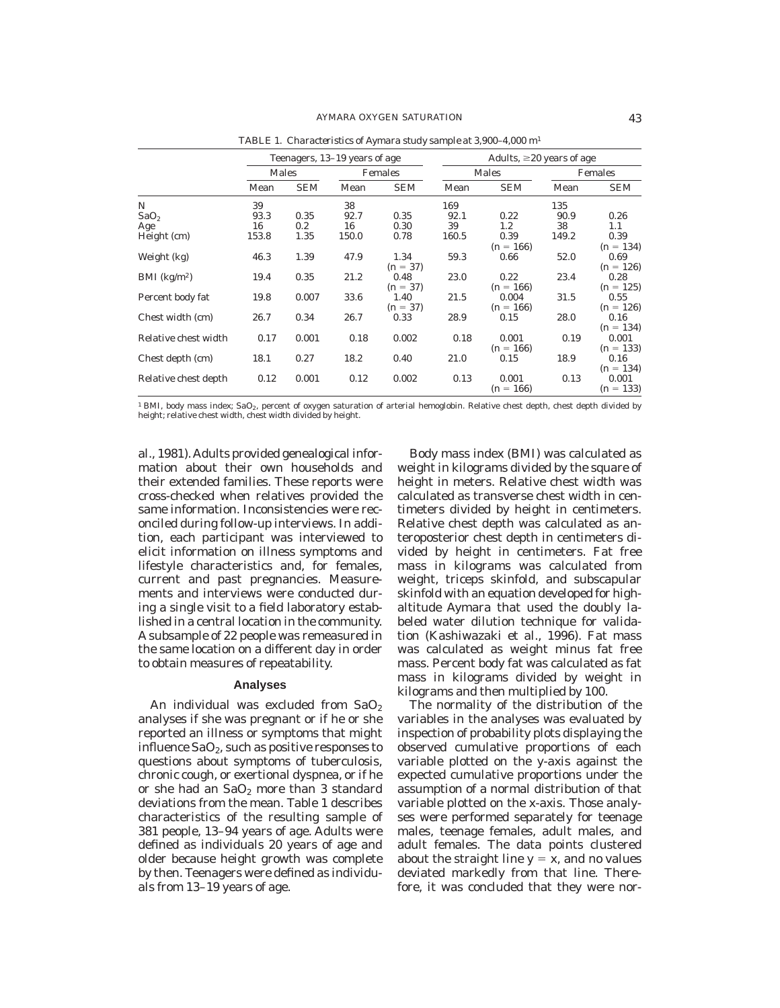|                            | Teenagers, 13–19 years of age |            |         | Adults, $\geq 20$ years of age |       |             |         |             |
|----------------------------|-------------------------------|------------|---------|--------------------------------|-------|-------------|---------|-------------|
|                            | Males                         |            | Females |                                | Males |             | Females |             |
|                            | Mean                          | <b>SEM</b> | Mean    | <b>SEM</b>                     | Mean  | <b>SEM</b>  | Mean    | <b>SEM</b>  |
| N                          | 39                            |            | 38      |                                | 169   |             | 135     |             |
| SaO <sub>2</sub>           | 93.3                          | 0.35       | 92.7    | 0.35                           | 92.1  | 0.22        | 90.9    | 0.26        |
| Age                        | 16                            | $0.2\,$    | 16      | 0.30                           | 39    | 1.2         | 38      | 1.1         |
| Height (cm)                | 153.8                         | 1.35       | 150.0   | 0.78                           | 160.5 | 0.39        | 149.2   | 0.39        |
|                            |                               |            |         |                                |       | $(n = 166)$ |         | $(n = 134)$ |
| Weight (kg)                | 46.3                          | 1.39       | 47.9    | 1.34                           | 59.3  | 0.66        | 52.0    | 0.69        |
|                            |                               |            |         | $(n = 37)$                     |       |             |         | $(n = 126)$ |
| $BMI$ (kg/m <sup>2</sup> ) | 19.4                          | 0.35       | 21.2    | 0.48                           | 23.0  | 0.22        | 23.4    | 0.28        |
|                            |                               |            |         | $(n = 37)$                     |       | $(n = 166)$ |         | $(n = 125)$ |
| Percent body fat           | 19.8                          | 0.007      | 33.6    | 1.40                           | 21.5  | 0.004       | 31.5    | 0.55        |
|                            |                               |            |         | $(n = 37)$                     |       | $(n = 166)$ |         | $(n = 126)$ |
| Chest width (cm)           | 26.7                          | 0.34       | 26.7    | 0.33                           | 28.9  | 0.15        | 28.0    | 0.16        |
|                            |                               |            |         |                                |       |             |         | $(n = 134)$ |
| Relative chest width       | 0.17                          | 0.001      | 0.18    | 0.002                          | 0.18  | 0.001       | 0.19    | 0.001       |
|                            |                               |            |         |                                |       | $(n = 166)$ |         | $(n = 133)$ |
| Chest depth (cm)           | 18.1                          | 0.27       | 18.2    | 0.40                           | 21.0  | 0.15        | 18.9    | 0.16        |
|                            |                               |            |         |                                |       |             |         | $(n = 134)$ |
| Relative chest depth       | 0.12                          | 0.001      | 0.12    | 0.002                          | 0.13  | 0.001       | 0.13    | 0.001       |
|                            |                               |            |         |                                |       | $(n = 166)$ |         | $(n = 133)$ |

*TABLE 1. Characteristics of Aymara study sample at 3,900–4,000 m*<sup>1</sup>

 $^1$  BMI, body mass index; SaO $_2$ , percent of oxygen saturation of arterial hemoglobin. Relative chest depth, chest depth divided by<br>height; relative chest width, chest width divided by height.

al., 1981). Adults provided genealogical information about their own households and their extended families. These reports were cross-checked when relatives provided the same information. Inconsistencies were reconciled during follow-up interviews. In addition, each participant was interviewed to elicit information on illness symptoms and lifestyle characteristics and, for females, current and past pregnancies. Measurements and interviews were conducted during a single visit to a field laboratory established in a central location in the community. A subsample of 22 people was remeasured in the same location on a different day in order to obtain measures of repeatability.

## **Analyses**

An individual was excluded from  $SaO<sub>2</sub>$ analyses if she was pregnant or if he or she reported an illness or symptoms that might influence  $SaO<sub>2</sub>$ , such as positive responses to questions about symptoms of tuberculosis, chronic cough, or exertional dyspnea, or if he or she had an  $SaO<sub>2</sub>$  more than 3 standard deviations from the mean. Table 1 describes characteristics of the resulting sample of 381 people, 13–94 years of age. Adults were defined as individuals 20 years of age and older because height growth was complete by then. Teenagers were defined as individuals from 13–19 years of age.

Body mass index (BMI) was calculated as weight in kilograms divided by the square of height in meters. Relative chest width was calculated as transverse chest width in centimeters divided by height in centimeters. Relative chest depth was calculated as anteroposterior chest depth in centimeters divided by height in centimeters. Fat free mass in kilograms was calculated from weight, triceps skinfold, and subscapular skinfold with an equation developed for highaltitude Aymara that used the doubly labeled water dilution technique for validation (Kashiwazaki et al., 1996). Fat mass was calculated as weight minus fat free mass. Percent body fat was calculated as fat mass in kilograms divided by weight in kilograms and then multiplied by 100.

The normality of the distribution of the variables in the analyses was evaluated by inspection of probability plots displaying the observed cumulative proportions of each variable plotted on the y-axis against the expected cumulative proportions under the assumption of a normal distribution of that variable plotted on the x-axis. Those analyses were performed separately for teenage males, teenage females, adult males, and adult females. The data points clustered about the straight line  $y = x$ , and no values deviated markedly from that line. Therefore, it was concluded that they were nor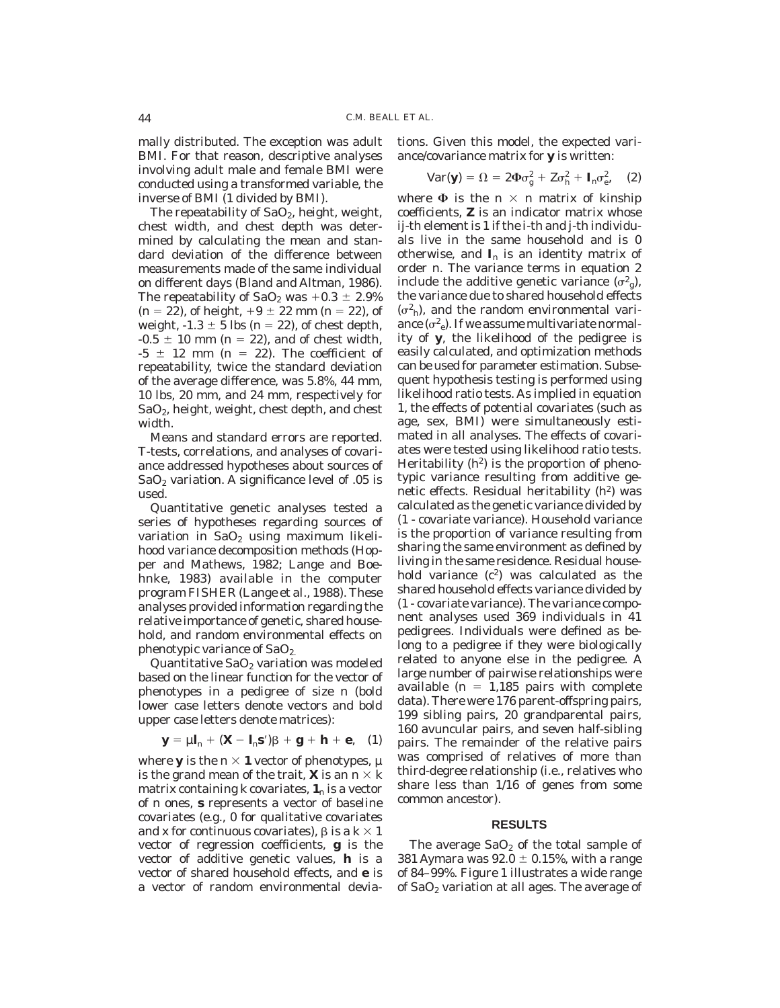mally distributed. The exception was adult BMI. For that reason, descriptive analyses involving adult male and female BMI were conducted using a transformed variable, the inverse of BMI (1 divided by BMI).

The repeatability of  $SaO<sub>2</sub>$ , height, weight, chest width, and chest depth was determined by calculating the mean and standard deviation of the difference between measurements made of the same individual on different days (Bland and Altman, 1986). The repeatability of  $SaO_2$  was  $+0.3 \pm 2.9\%$  $(n = 22)$ , of height,  $+9 \pm 22$  mm  $(n = 22)$ , of weight,  $-1.3 \pm 5$  lbs (n = 22), of chest depth,  $-0.5 \pm 10$  mm (n = 22), and of chest width,  $-5 \pm 12$  mm (n = 22). The coefficient of repeatability, twice the standard deviation of the average difference, was 5.8%, 44 mm, 10 lbs, 20 mm, and 24 mm, respectively for SaO2, height, weight, chest depth, and chest width.

Means and standard errors are reported. *T*-tests, correlations, and analyses of covariance addressed hypotheses about sources of  $SaO<sub>2</sub>$  variation. A significance level of .05 is used.

Quantitative genetic analyses tested a series of hypotheses regarding sources of variation in  $SaO<sub>2</sub>$  using maximum likelihood variance decomposition methods (Hopper and Mathews, 1982; Lange and Boehnke, 1983) available in the computer program FISHER (Lange et al., 1988). These analyses provided information regarding the relative importance of genetic, shared household, and random environmental effects on phenotypic variance of SaO<sub>2.</sub>

Quantitative  $SaO<sub>2</sub>$  variation was modeled based on the linear function for the vector of phenotypes in a pedigree of size *n* (bold lower case letters denote vectors and bold upper case letters denote matrices):

$$
\mathbf{y} = \mu \mathbf{l}_n + (\mathbf{X} - \mathbf{l}_n \mathbf{s}')\beta + \mathbf{g} + \mathbf{h} + \mathbf{e}, \quad (1)
$$

where **y** is the  $n \times 1$  vector of phenotypes,  $\mu$ is the grand mean of the trait, **X** is an  $n \times k$ matrix containing  $k$  covariates,  $\mathbf{1}_n$  is a vector of *n* ones, **s** represents a vector of baseline covariates (e.g., 0 for qualitative covariates and x for continuous covariates),  $\beta$  is a  $k \times 1$ vector of regression coefficients, **g** is the vector of additive genetic values, **h** is a vector of shared household effects, and **e** is a vector of random environmental deviations. Given this model, the expected variance/covariance matrix for **y** is written:

$$
Var(\mathbf{y}) = \Omega = 2\Phi\sigma_g^2 + Z\sigma_h^2 + \mathbf{I}_n\sigma_e^2, \quad (2)
$$

where  $\Phi$  is the  $n \times n$  matrix of kinship coefficients, **Z** is an indicator matrix whose *ij*-th element is 1 if the *i*-th and *j*-th individuals live in the same household and is 0 otherwise, and  $I_n$  is an identity matrix of order *n*. The variance terms in equation 2 include the additive genetic variance  $(\sigma_{g}^{2})$ , the variance due to shared household effects  $(\sigma^2)$ , and the random environmental variance  $(\sigma^2_e)$ . If we assume multivariate normality of **y**, the likelihood of the pedigree is easily calculated, and optimization methods can be used for parameter estimation. Subsequent hypothesis testing is performed using likelihood ratio tests. As implied in equation 1, the effects of potential covariates (such as age, sex, BMI) were simultaneously estimated in all analyses. The effects of covariates were tested using likelihood ratio tests. Heritability  $(h^2)$  is the proportion of phenotypic variance resulting from additive genetic effects. Residual heritability  $(h^2)$  was calculated as the genetic variance divided by (1 - covariate variance). Household variance is the proportion of variance resulting from sharing the same environment as defined by living in the same residence. Residual household variance  $(c^2)$  was calculated as the shared household effects variance divided by (1 - covariate variance). The variance component analyses used 369 individuals in 41 pedigrees. Individuals were defined as belong to a pedigree if they were biologically related to anyone else in the pedigree. A large number of pairwise relationships were available ( $n = 1,185$  pairs with complete data). There were 176 parent-offspring pairs, 199 sibling pairs, 20 grandparental pairs, 160 avuncular pairs, and seven half-sibling pairs. The remainder of the relative pairs was comprised of relatives of more than third-degree relationship (i.e., relatives who share less than 1/16 of genes from some common ancestor).

#### **RESULTS**

The average  $SaO<sub>2</sub>$  of the total sample of 381 Aymara was  $92.0 \pm 0.15$ %, with a range of 84–99%. Figure 1 illustrates a wide range of SaO<sub>2</sub> variation at all ages. The average of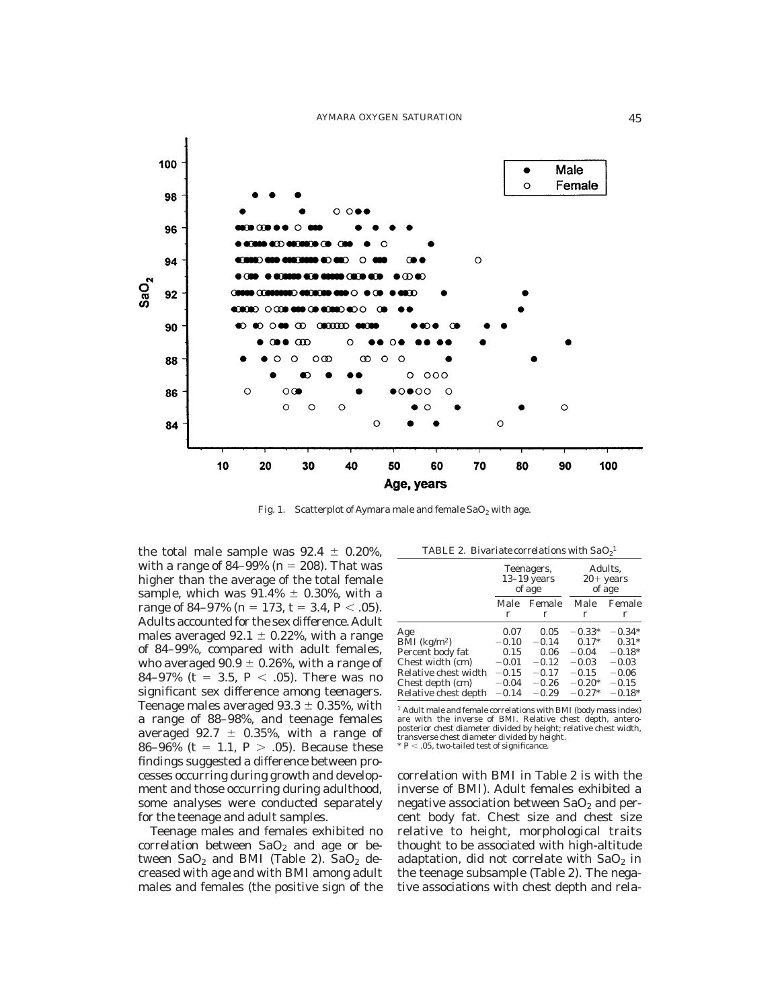

Fig. 1. Scatterplot of Aymara male and female  $SaO<sub>2</sub>$  with age.

the total male sample was  $92.4 \pm 0.20\%$ , with a range of 84–99% ( $n = 208$ ). That was higher than the average of the total female sample, which was  $91.4\% \pm 0.30\%$ , with a range of 84–97% ( $n = 173$ ,  $t = 3.4$ ,  $P < .05$ ). Adults accounted for the sex difference.Adult males averaged 92.1  $\pm$  0.22%, with a range of 84–99%, compared with adult females, who averaged  $90.9 \pm 0.26$ %, with a range of 84–97% (t = 3.5,  $P < .05$ ). There was no significant sex difference among teenagers. Teenage males averaged  $93.3 \pm 0.35$ %, with a range of 88–98%, and teenage females averaged 92.7  $\pm$  0.35%, with a range of 86–96% (t = 1.1,  $P > .05$ ). Because these findings suggested a difference between processes occurring during growth and development and those occurring during adulthood, some analyses were conducted separately for the teenage and adult samples.

Teenage males and females exhibited no correlation between  $SaO<sub>2</sub>$  and age or between  $SaO<sub>2</sub>$  and BMI (Table 2).  $SaO<sub>2</sub>$  decreased with age and with BMI among adult males and females (the positive sign of the

|  | TABLE 2. Bivariate correlations with $SaO21$ |  |
|--|----------------------------------------------|--|
|--|----------------------------------------------|--|

|                      | Teenagers,<br>$13-19$ years<br>of age |         | Adults,<br>$20+$ years<br>of age |          |
|----------------------|---------------------------------------|---------|----------------------------------|----------|
|                      | Male                                  | Female  | Male                             | Female   |
|                      | r                                     | r       | r                                | r        |
| Age                  | 0.07                                  | 0.05    | $-0.33*$                         | $-0.34*$ |
| BMI $(kg/m2)$        | $-0.10$                               | $-0.14$ | $0.17*$                          | $0.31*$  |
| Percent body fat     | 0.15                                  | 0.06    | $-0.04$                          | $-0.18*$ |
| Chest width (cm)     | $-0.01$                               | $-0.12$ | $-0.03$                          | $-0.03$  |
| Relative chest width | $-0.15$                               | $-0.17$ | $-0.15$                          | $-0.06$  |
| Chest depth (cm)     | $-0.04$                               | $-0.26$ | $-0.20*$                         | $-0.15$  |
| Relative chest depth | $-0.14$                               | $-0.29$ | $-0.27*$                         | $-0.18*$ |

 $<sup>1</sup>$  Adult male and female correlations with BMI (body mass index)</sup> are with the inverse of BMI. Relative chest depth, anteroposterior chest diameter divided by height; relative chest width, transverse chest diameter divided by height.  $P < .05$ , two-tailed test of significance.

correlation with BMI in Table 2 is with the inverse of BMI). Adult females exhibited a negative association between  $SaO<sub>2</sub>$  and percent body fat. Chest size and chest size relative to height, morphological traits thought to be associated with high-altitude adaptation, did not correlate with  $SaO<sub>2</sub>$  in the teenage subsample (Table 2). The negative associations with chest depth and rela-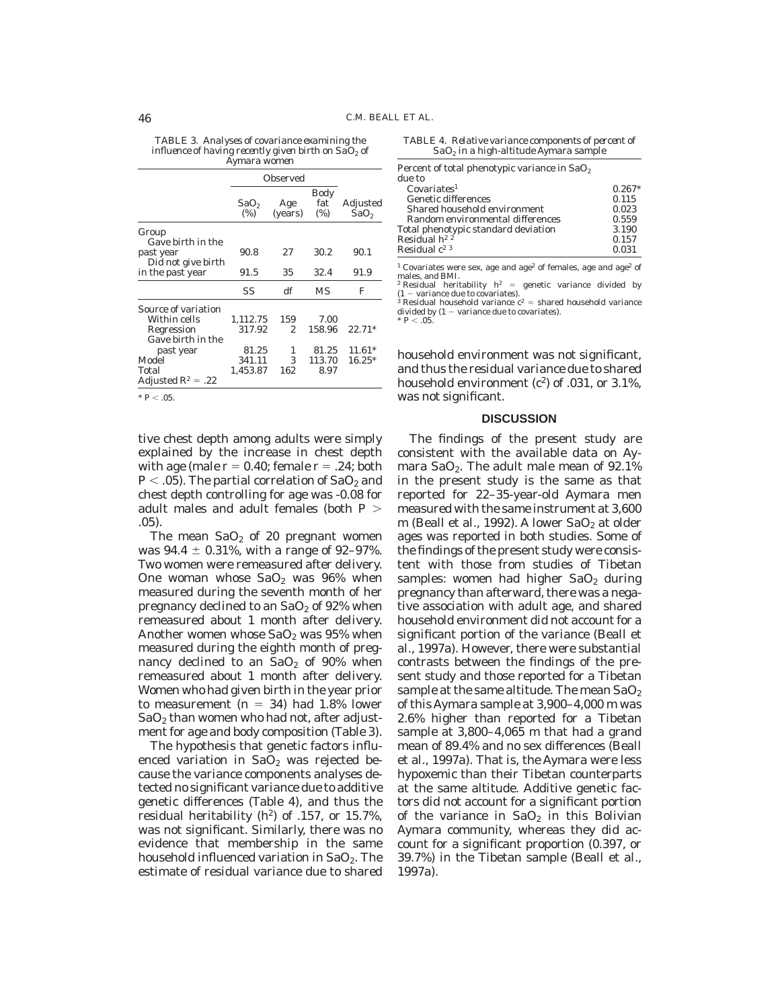*TABLE 3. Analyses of covariance examining the influence of having recently given birth on SaO*<sup>2</sup> *of Aymara women*

|                                                      | Observed                   |                |                    |                              |
|------------------------------------------------------|----------------------------|----------------|--------------------|------------------------------|
|                                                      | SaO <sub>2</sub><br>$(\%)$ | Age<br>(years) | Body<br>fat<br>(%) | Adjusted<br>SaO <sub>2</sub> |
| Group                                                |                            |                |                    |                              |
| Gave birth in the<br>past year<br>Did not give birth | 90.8                       | 27             | 30.2               | 90.1                         |
| in the past year                                     | 91.5                       | 35             | 32.4               | 91.9                         |
|                                                      | SS                         | df             | МS                 | F                            |
| Source of variation                                  |                            |                |                    |                              |
| Within cells                                         | 1.112.75                   | 159            | 7.00               |                              |
| Regression                                           | 317.92                     | 2.             | 158.96             | $22.71*$                     |
| Gave birth in the                                    |                            |                |                    |                              |
| past year                                            | 81.25                      | 1              | 81.25              | $11.61*$                     |
| Model                                                | 341.11                     | 3              | 113.70             | $16.25*$                     |
| Total                                                | 1,453.87                   | 162            | 8.97               |                              |
| Adjusted $R^2 = .22$                                 |                            |                |                    |                              |

 $* P < 0.5$ 

tive chest depth among adults were simply explained by the increase in chest depth with age (male  $r = 0.40$ ; female  $r = .24$ ; both  $P < .05$ ). The partial correlation of SaO<sub>2</sub> and chest depth controlling for age was -0.08 for adult males and adult females (both *P* . .05).

The mean  $SaO<sub>2</sub>$  of 20 pregnant women was  $94.4 \pm 0.31\%$ , with a range of  $92-97\%$ . Two women were remeasured after delivery. One woman whose  $SaO<sub>2</sub>$  was  $96%$  when measured during the seventh month of her pregnancy declined to an  $SaO<sub>2</sub>$  of 92% when remeasured about 1 month after delivery. Another women whose  $SaO<sub>2</sub>$  was 95% when measured during the eighth month of pregnancy declined to an  $SaO<sub>2</sub>$  of 90% when remeasured about 1 month after delivery. Women who had given birth in the year prior to measurement  $(n = 34)$  had 1.8% lower  $SaO<sub>2</sub>$  than women who had not, after adjustment for age and body composition (Table 3).

The hypothesis that genetic factors influenced variation in  $SaO<sub>2</sub>$  was rejected because the variance components analyses detected no significant variance due to additive genetic differences (Table 4), and thus the residual heritability ( $h^2$ ) of .157, or 15.7%, was not significant. Similarly, there was no evidence that membership in the same household influenced variation in  $SaO<sub>2</sub>$ . The estimate of residual variance due to shared

*TABLE 4. Relative variance components of percent of SaO2 in a high-altitude Aymara sample*

| Percent of total phenotypic variance in SaO <sub>2</sub>        |          |
|-----------------------------------------------------------------|----------|
| due to                                                          |          |
| Covariates <sup>1</sup>                                         | $0.267*$ |
| <b>Genetic differences</b>                                      | 0.115    |
| Shared household environment                                    | 0.023    |
| Random environmental differences                                | 0.559    |
| Total phenotypic standard deviation Residual $\mathbf{h}^{2 2}$ | 3.190    |
|                                                                 | 0.157    |
| Residual $c2$ <sup>3</sup>                                      | 0.031    |

 $^{\rm 1}$  Covariates were sex, age and age<sup>2</sup> of females, age and age<sup>2</sup> of males, and BMI.

<sup>2</sup> Residual heritability  $h^2$  = genetic variance divided by  $(1 - \text{variance due to covariates}).$ Residual household variance  $c^2$  = shared household variance divided by  $(1 - \text{variance due to covariates}).$ 

 $* \, P < 0.5$ 

household environment was not significant, and thus the residual variance due to shared household environment  $(c^2)$  of .031, or 3.1%, was not significant.

#### **DISCUSSION**

The findings of the present study are consistent with the available data on Aymara SaO<sub>2</sub>. The adult male mean of  $92.1\%$ in the present study is the same as that reported for 22–35-year-old Aymara men measured with the same instrument at 3,600 m (Beall et al., 1992). A lower  $SaO_2$  at older ages was reported in both studies. Some of the findings of the present study were consistent with those from studies of Tibetan samples: women had higher  $SaO<sub>2</sub>$  during pregnancy than afterward, there was a negative association with adult age, and shared household environment did not account for a significant portion of the variance (Beall et al., 1997a). However, there were substantial contrasts between the findings of the present study and those reported for a Tibetan sample at the same altitude. The mean  $SaO<sub>2</sub>$ of this Aymara sample at 3,900–4,000 m was 2.6% higher than reported for a Tibetan sample at 3,800–4,065 m that had a grand mean of 89.4% and no sex differences (Beall et al., 1997a). That is, the Aymara were less hypoxemic than their Tibetan counterparts at the same altitude. Additive genetic factors did not account for a significant portion of the variance in  $SaO<sub>2</sub>$  in this Bolivian Aymara community, whereas they did account for a significant proportion (0.397, or 39.7%) in the Tibetan sample (Beall et al., 1997a).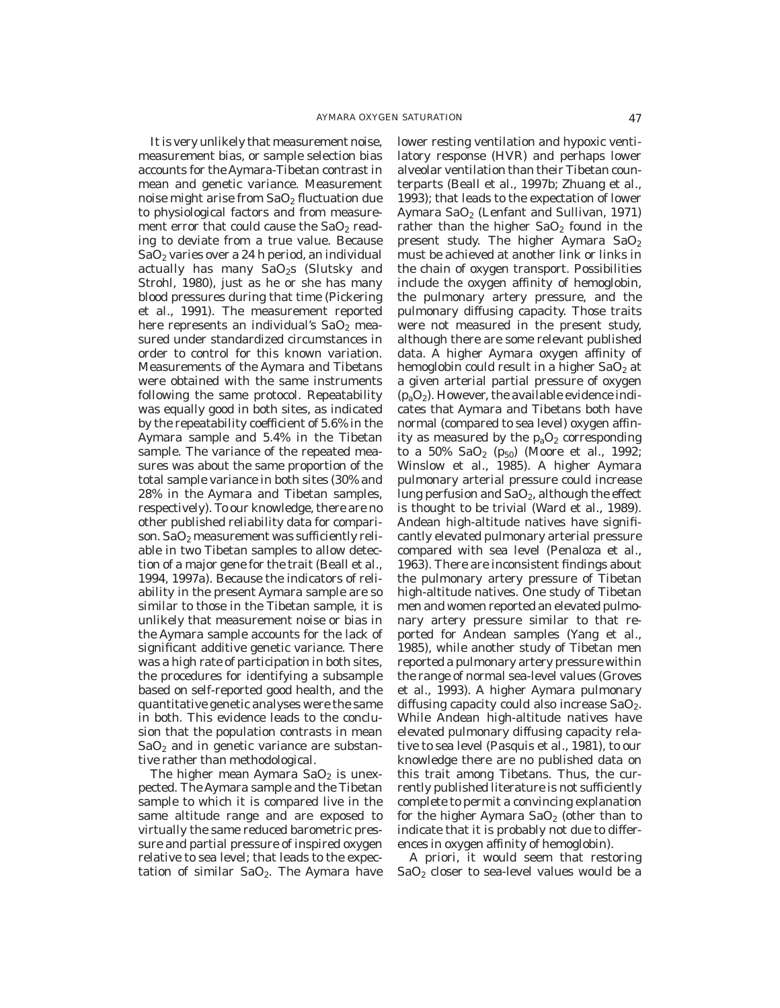It is very unlikely that measurement noise, measurement bias, or sample selection bias accounts for the Aymara-Tibetan contrast in mean and genetic variance. Measurement noise might arise from  $SaO<sub>2</sub>$  fluctuation due to physiological factors and from measurement error that could cause the  $SaO<sub>2</sub>$  reading to deviate from a true value. Because  $SaO<sub>2</sub>$  varies over a 24 h period, an individual actually has many  $SaO<sub>2</sub>s$  (Slutsky and Strohl, 1980), just as he or she has many blood pressures during that time (Pickering et al., 1991). The measurement reported here represents an individual's  $SaO<sub>2</sub>$  measured under standardized circumstances in order to control for this known variation. Measurements of the Aymara and Tibetans were obtained with the same instruments following the same protocol. Repeatability was equally good in both sites, as indicated by the repeatability coefficient of 5.6% in the Aymara sample and 5.4% in the Tibetan sample. The variance of the repeated measures was about the same proportion of the total sample variance in both sites (30% and 28% in the Aymara and Tibetan samples, respectively). To our knowledge, there are no other published reliability data for comparison.  $SaO<sub>2</sub>$  measurement was sufficiently reliable in two Tibetan samples to allow detection of a major gene for the trait (Beall et al., 1994, 1997a). Because the indicators of reliability in the present Aymara sample are so similar to those in the Tibetan sample, it is unlikely that measurement noise or bias in the Aymara sample accounts for the lack of significant additive genetic variance. There was a high rate of participation in both sites, the procedures for identifying a subsample based on self-reported good health, and the quantitative genetic analyses were the same in both. This evidence leads to the conclusion that the population contrasts in mean  $SaO<sub>2</sub>$  and in genetic variance are substantive rather than methodological.

The higher mean Aymara  $SaO<sub>2</sub>$  is unexpected. The Aymara sample and the Tibetan sample to which it is compared live in the same altitude range and are exposed to virtually the same reduced barometric pressure and partial pressure of inspired oxygen relative to sea level; that leads to the expectation of similar  $SaO<sub>2</sub>$ . The Aymara have lower resting ventilation and hypoxic ventilatory response (HVR) and perhaps lower alveolar ventilation than their Tibetan counterparts (Beall et al., 1997b; Zhuang et al., 1993); that leads to the expectation of lower Aymara  $SaO<sub>2</sub>$  (Lenfant and Sullivan, 1971) rather than the higher  $SaO<sub>2</sub>$  found in the present study. The higher Aymara  $SaO<sub>2</sub>$ must be achieved at another link or links in the chain of oxygen transport. Possibilities include the oxygen affinity of hemoglobin, the pulmonary artery pressure, and the pulmonary diffusing capacity. Those traits were not measured in the present study, although there are some relevant published data. A higher Aymara oxygen affinity of hemoglobin could result in a higher  $SaO<sub>2</sub>$  at a given arterial partial pressure of oxygen  $(p_aO_2)$ . However, the available evidence indicates that Aymara and Tibetans both have normal (compared to sea level) oxygen affinity as measured by the  $p_aO_2$  corresponding to a 50%  $\text{SaO}_2$  ( $p_{50}$ ) (Moore et al., 1992; Winslow et al., 1985). A higher Aymara pulmonary arterial pressure could increase lung perfusion and  $SaO<sub>2</sub>$ , although the effect is thought to be trivial (Ward et al., 1989). Andean high-altitude natives have significantly elevated pulmonary arterial pressure compared with sea level (Penaloza et al., 1963). There are inconsistent findings about the pulmonary artery pressure of Tibetan high-altitude natives. One study of Tibetan men and women reported an elevated pulmonary artery pressure similar to that reported for Andean samples (Yang et al., 1985), while another study of Tibetan men reported a pulmonary artery pressure within the range of normal sea-level values (Groves et al., 1993). A higher Aymara pulmonary diffusing capacity could also increase  $SaO<sub>2</sub>$ . While Andean high-altitude natives have elevated pulmonary diffusing capacity relative to sea level (Pasquis et al., 1981), to our knowledge there are no published data on this trait among Tibetans. Thus, the currently published literature is not sufficiently complete to permit a convincing explanation for the higher Aymara  $SaO<sub>2</sub>$  (other than to indicate that it is probably not due to differences in oxygen affinity of hemoglobin).

A priori, it would seem that restoring  $SaO<sub>2</sub>$  closer to sea-level values would be a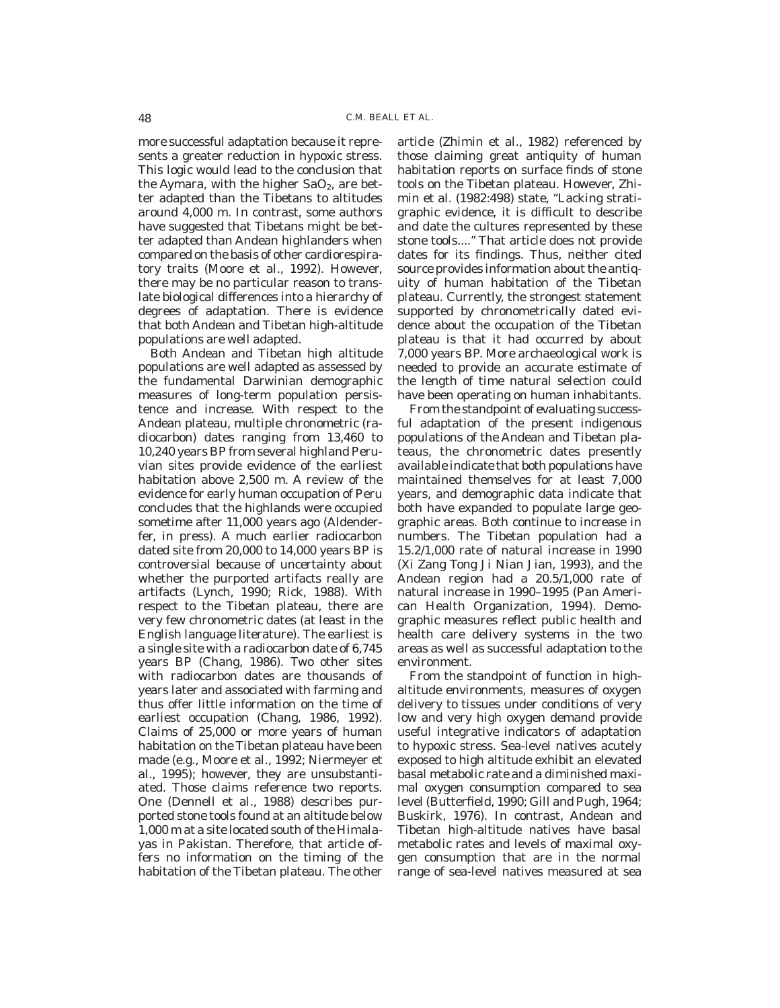more successful adaptation because it represents a greater reduction in hypoxic stress. This logic would lead to the conclusion that the Aymara, with the higher  $SaO<sub>2</sub>$ , are better adapted than the Tibetans to altitudes around 4,000 m. In contrast, some authors have suggested that Tibetans might be better adapted than Andean highlanders when compared on the basis of other cardiorespiratory traits (Moore et al., 1992). However, there may be no particular reason to translate biological differences into a hierarchy of degrees of adaptation. There is evidence that both Andean and Tibetan high-altitude populations are well adapted.

Both Andean and Tibetan high altitude populations are well adapted as assessed by the fundamental Darwinian demographic measures of long-term population persistence and increase. With respect to the Andean plateau, multiple chronometric (radiocarbon) dates ranging from 13,460 to 10,240 years BP from several highland Peruvian sites provide evidence of the earliest habitation above 2,500 m. A review of the evidence for early human occupation of Peru concludes that the highlands were occupied sometime after 11,000 years ago (Aldenderfer, in press). A much earlier radiocarbon dated site from 20,000 to 14,000 years BP is controversial because of uncertainty about whether the purported artifacts really are artifacts (Lynch, 1990; Rick, 1988). With respect to the Tibetan plateau, there are very few chronometric dates (at least in the English language literature). The earliest is a single site with a radiocarbon date of 6,745 years BP (Chang, 1986). Two other sites with radiocarbon dates are thousands of years later and associated with farming and thus offer little information on the time of earliest occupation (Chang, 1986, 1992). Claims of 25,000 or more years of human habitation on the Tibetan plateau have been made (e.g., Moore et al., 1992; Niermeyer et al., 1995); however, they are unsubstantiated. Those claims reference two reports. One (Dennell et al., 1988) describes purported stone tools found at an altitude below 1,000 m at a site located south of the Himalayas in Pakistan. Therefore, that article offers no information on the timing of the habitation of the Tibetan plateau. The other

article (Zhimin et al., 1982) referenced by those claiming great antiquity of human habitation reports on surface finds of stone tools on the Tibetan plateau. However, Zhimin et al. (1982:498) state, "Lacking stratigraphic evidence, it is difficult to describe and date the cultures represented by these stone tools....'' That article does not provide dates for its findings. Thus, neither cited source provides information about the antiquity of human habitation of the Tibetan plateau. Currently, the strongest statement supported by chronometrically dated evidence about the occupation of the Tibetan plateau is that it had occurred by about 7,000 years BP. More archaeological work is needed to provide an accurate estimate of the length of time natural selection could have been operating on human inhabitants.

From the standpoint of evaluating successful adaptation of the present indigenous populations of the Andean and Tibetan plateaus, the chronometric dates presently available indicate that both populations have maintained themselves for at least 7,000 years, and demographic data indicate that both have expanded to populate large geographic areas. Both continue to increase in numbers. The Tibetan population had a 15.2/1,000 rate of natural increase in 1990 (Xi Zang Tong Ji Nian Jian, 1993), and the Andean region had a 20.5/1,000 rate of natural increase in 1990–1995 (Pan American Health Organization, 1994). Demographic measures reflect public health and health care delivery systems in the two areas as well as successful adaptation to the environment.

From the standpoint of function in highaltitude environments, measures of oxygen delivery to tissues under conditions of very low and very high oxygen demand provide useful integrative indicators of adaptation to hypoxic stress. Sea-level natives acutely exposed to high altitude exhibit an elevated basal metabolic rate and a diminished maximal oxygen consumption compared to sea level (Butterfield, 1990; Gill and Pugh, 1964; Buskirk, 1976). In contrast, Andean and Tibetan high-altitude natives have basal metabolic rates and levels of maximal oxygen consumption that are in the normal range of sea-level natives measured at sea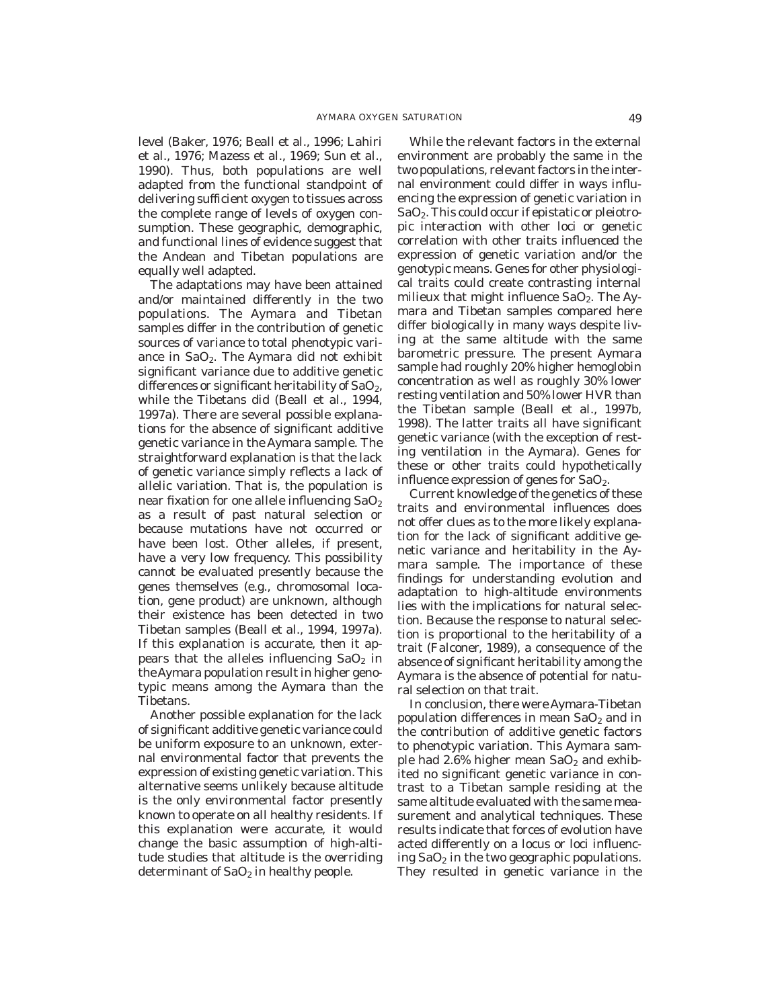level (Baker, 1976; Beall et al., 1996; Lahiri et al., 1976; Mazess et al., 1969; Sun et al., 1990). Thus, both populations are well adapted from the functional standpoint of delivering sufficient oxygen to tissues across the complete range of levels of oxygen consumption. These geographic, demographic, and functional lines of evidence suggest that the Andean and Tibetan populations are equally well adapted.

The adaptations may have been attained and/or maintained differently in the two populations. The Aymara and Tibetan samples differ in the contribution of genetic sources of variance to total phenotypic variance in SaO<sub>2</sub>. The Aymara did not exhibit significant variance due to additive genetic differences or significant heritability of  $SaO<sub>2</sub>$ , while the Tibetans did (Beall et al., 1994, 1997a). There are several possible explanations for the absence of significant additive genetic variance in the Aymara sample. The straightforward explanation is that the lack of genetic variance simply reflects a lack of allelic variation. That is, the population is near fixation for one allele influencing  $SaO<sub>2</sub>$ as a result of past natural selection or because mutations have not occurred or have been lost. Other alleles, if present, have a very low frequency. This possibility cannot be evaluated presently because the genes themselves (e.g., chromosomal location, gene product) are unknown, although their existence has been detected in two Tibetan samples (Beall et al., 1994, 1997a). If this explanation is accurate, then it appears that the alleles influencing  $SaO<sub>2</sub>$  in theAymara population result in higher genotypic means among the Aymara than the Tibetans.

Another possible explanation for the lack of significant additive genetic variance could be uniform exposure to an unknown, external environmental factor that prevents the expression of existing genetic variation. This alternative seems unlikely because altitude is the only environmental factor presently known to operate on all healthy residents. If this explanation were accurate, it would change the basic assumption of high-altitude studies that altitude is the overriding determinant of  $SaO<sub>2</sub>$  in healthy people.

While the relevant factors in the external environment are probably the same in the two populations, relevant factors in the internal environment could differ in ways influencing the expression of genetic variation in SaO2. This could occur if epistatic or pleiotropic interaction with other loci or genetic correlation with other traits influenced the expression of genetic variation and/or the genotypic means. Genes for other physiological traits could create contrasting internal milieux that might influence  $SaO<sub>2</sub>$ . The Aymara and Tibetan samples compared here differ biologically in many ways despite living at the same altitude with the same barometric pressure. The present Aymara sample had roughly 20% higher hemoglobin concentration as well as roughly 30% lower resting ventilation and 50% lower HVR than the Tibetan sample (Beall et al., 1997b, 1998). The latter traits all have significant genetic variance (with the exception of resting ventilation in the Aymara). Genes for these or other traits could hypothetically influence expression of genes for  $SaO<sub>2</sub>$ .

Current knowledge of the genetics of these traits and environmental influences does not offer clues as to the more likely explanation for the lack of significant additive genetic variance and heritability in the Aymara sample. The importance of these findings for understanding evolution and adaptation to high-altitude environments lies with the implications for natural selection. Because the response to natural selection is proportional to the heritability of a trait (Falconer, 1989), a consequence of the absence of significant heritability among the Aymara is the absence of potential for natural selection on that trait.

In conclusion, there were Aymara-Tibetan population differences in mean  $SaO<sub>2</sub>$  and in the contribution of additive genetic factors to phenotypic variation. This Aymara sample had 2.6% higher mean  $SaO<sub>2</sub>$  and exhibited no significant genetic variance in contrast to a Tibetan sample residing at the same altitude evaluated with the same measurement and analytical techniques. These results indicate that forces of evolution have acted differently on a locus or loci influencing  $SaO<sub>2</sub>$  in the two geographic populations. They resulted in genetic variance in the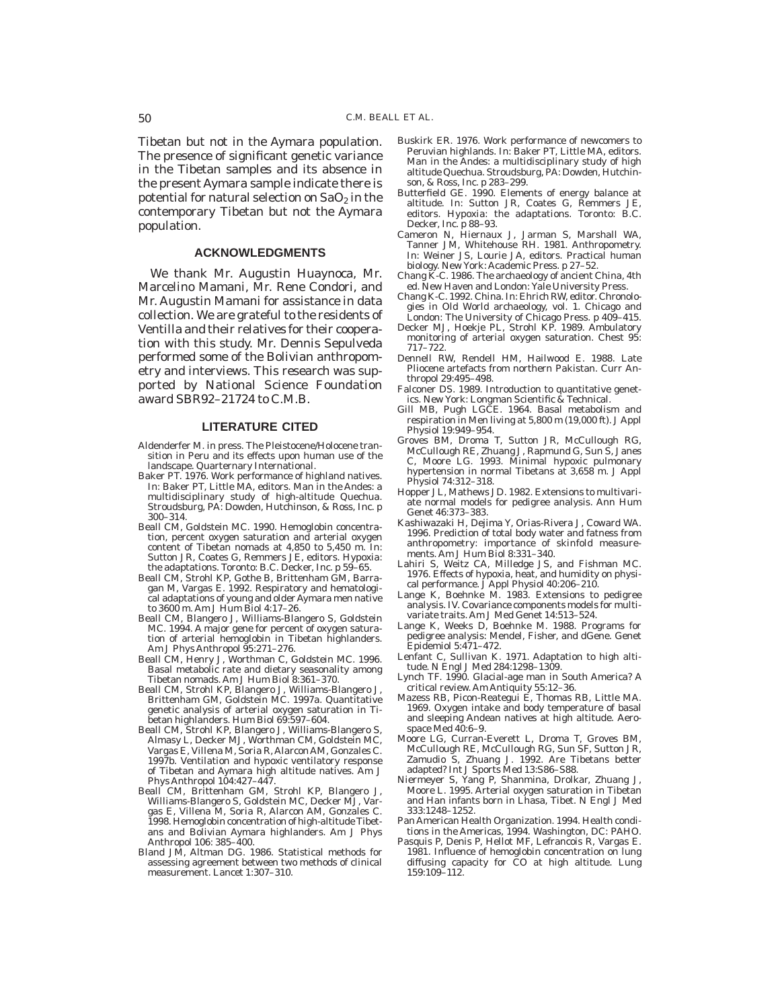Tibetan but not in the Aymara population. The presence of significant genetic variance in the Tibetan samples and its absence in the present Aymara sample indicate there is potential for natural selection on  $SaO<sub>2</sub>$  in the contemporary Tibetan but not the Aymara population.

### **ACKNOWLEDGMENTS**

We thank Mr. Augustin Huaynoca, Mr. Marcelino Mamani, Mr. Rene Condori, and Mr. Augustin Mamani for assistance in data collection. We are grateful to the residents of Ventilla and their relatives for their cooperation with this study. Mr. Dennis Sepulveda performed some of the Bolivian anthropometry and interviews. This research was supported by National Science Foundation award SBR92–21724 to C.M.B.

#### **LITERATURE CITED**

- Aldenderfer M. in press. The Pleistocene/Holocene transition in Peru and its effects upon human use of the landscape. Quarternary International.
- Baker PT. 1976. Work performance of highland natives. In: Baker PT, Little MA, editors. Man in the Andes: a multidisciplinary study of high-altitude Quechua. Stroudsburg, PA: Dowden, Hutchinson, & Ross, Inc. p 300–314.
- Beall CM, Goldstein MC. 1990. Hemoglobin concentration, percent oxygen saturation and arterial oxygen content of Tibetan nomads at 4,850 to 5,450 m. In: Sutton JR, Coates G, Remmers JE, editors. Hypoxia: the adaptations. Toronto: B.C. Decker, Inc. p 59–65.
- Beall CM, Strohl KP, Gothe B, Brittenham GM, Barragan M, Vargas E. 1992. Respiratory and hematological adaptations of young and older Aymara men native to 3600 m. Am J Hum Biol 4:17–26.
- Beall CM, Blangero J, Williams-Blangero S, Goldstein MC. 1994. A major gene for percent of oxygen saturation of arterial hemoglobin in Tibetan highlanders. Am J Phys Anthropol 95:271-276.
- Beall CM, Henry J, Worthman C, Goldstein MC. 1996. Basal metabolic rate and dietary seasonality among Tibetan nomads. Am J Hum Biol 8:361–370.
- Beall CM, Strohl KP, Blangero J, Williams-Blangero J, Brittenham GM, Goldstein MC. 1997a. Quantitative genetic analysis of arterial oxygen saturation in Tibetan highlanders. Hum Biol 69:597–604.
- Beall CM, Strohl KP, Blangero J, Williams-Blangero S, Almasy L, Decker MJ, Worthman CM, Goldstein MC, Vargas E, Villena M, Soria R, Alarcon AM, Gonzales C. 1997b. Ventilation and hypoxic ventilatory response of Tibetan and Aymara high altitude natives. Am J Phys Anthropol 104:427–447.
- Beall CM, Brittenham GM, Strohl KP, Blangero J, Williams-Blangero S, Goldstein MC, Decker MJ, Vargas E, Villena M, Soria R, Alarcon AM, Gonzales C. 1998. Hemoglobin concentration of high-altitude Tibetans and Bolivian Aymara highlanders. Am J Phys Anthropol 106: 385–400.
- Bland JM, Altman DG. 1986. Statistical methods for assessing agreement between two methods of clinical measurement. Lancet 1:307–310.
- Buskirk ER. 1976. Work performance of newcomers to Peruvian highlands. In: Baker PT, Little MA, editors. Man in the Andes: a multidisciplinary study of high altitude Quechua. Stroudsburg, PA: Dowden, Hutchinson, & Ross, Inc. p 283–299.
- Butterfield GE. 1990. Elements of energy balance at altitude. In: Sutton JR, Coates G, Remmers JE, editors. Hypoxia: the adaptations. Toronto: B.C. Decker, Inc. p 88–93.
- Cameron N, Hiernaux J, Jarman S, Marshall WA, Tanner JM, Whitehouse RH. 1981. Anthropometry. In: Weiner JS, Lourie JA, editors. Practical human biology. New York: Academic Press. p 27–52.
- Chang K-C. 1986. The archaeology of ancient China, 4th ed. New Haven and London: Yale University Press.
- Chang K-C. 1992. China. In: Ehrich RW, editor. Chronologies in Old World archaeology, vol. 1. Chicago and London: The University of Chicago Press. p 409–415.
- Decker MJ, Hoekje PL, Strohl KP. 1989. Ambulatory monitoring of arterial oxygen saturation. Chest 95: 717–722.
- Dennell RW, Rendell HM, Hailwood E. 1988. Late Pliocene artefacts from northern Pakistan. Curr Anthropol 29:495–498.
- Falconer DS. 1989. Introduction to quantitative genetics. New York: Longman Scientific & Technical.
- Gill MB, Pugh LGCE. 1964. Basal metabolism and respiration in Men living at 5,800 m (19,000 ft). J Appl Physiol 19:949–954.
- Groves BM, Droma T, Sutton JR, McCullough RG, McCullough RE, Zhuang J, Rapmund G, Sun S, Janes C, Moore LG. 1993. Minimal hypoxic pulmonary hypertension in normal Tibetans at 3,658 m. J Appl Physiol 74:312–318.
- Hopper JL, Mathews JD. 1982. Extensions to multivariate normal models for pedigree analysis. Ann Hum Genet 46:373–383.
- Kashiwazaki H, Dejima Y, Orias-Rivera J, Coward WA. 1996. Prediction of total body water and fatness from anthropometry: importance of skinfold measurements. Am J Hum Biol 8:331–340.
- Lahiri S, Weitz CA, Milledge JS, and Fishman MC. 1976. Effects of hypoxia, heat, and humidity on physical performance. J Appl Physiol 40:206–210.
- Lange K, Boehnke M. 1983. Extensions to pedigree analysis. IV. Covariance components models for multivariate traits. Am J Med Genet 14:513–524.
- Lange K, Weeks D, Boehnke M. 1988. Programs for pedigree analysis: Mendel, Fisher, and dGene. Genet Epidemiol 5:471–472.
- Lenfant C, Sullivan K. 1971. Adaptation to high altitude. N Engl J Med 284:1298–1309.
- Lynch TF. 1990. Glacial-age man in South America? A critical review. Am Antiquity 55:12–36.
- Mazess RB, Picon-Reategui E, Thomas RB, Little MA. 1969. Oxygen intake and body temperature of basal and sleeping Andean natives at high altitude. Aerospace Med 40:6–9.
- Moore LG, Curran-Everett L, Droma T, Groves BM, McCullough RE, McCullough RG, Sun SF, Sutton JR, Zamudio S, Zhuang J. 1992. Are Tibetans better adapted? Int J Sports Med 13:S86–S88.
- Niermeyer S, Yang P, Shanmina, Drolkar, Zhuang J, Moore L. 1995. Arterial oxygen saturation in Tibetan and Han infants born in Lhasa, Tibet. N Engl J Med 333:1248–1252.
- Pan American Health Organization. 1994. Health conditions in the Americas, 1994. Washington, DC: PAHO.
- Pasquis P, Denis P, Hellot MF, Lefrancois R, Vargas E. 1981. Influence of hemoglobin concentration on lung diffusing capacity for CO at high altitude. Lung 159:109–112.